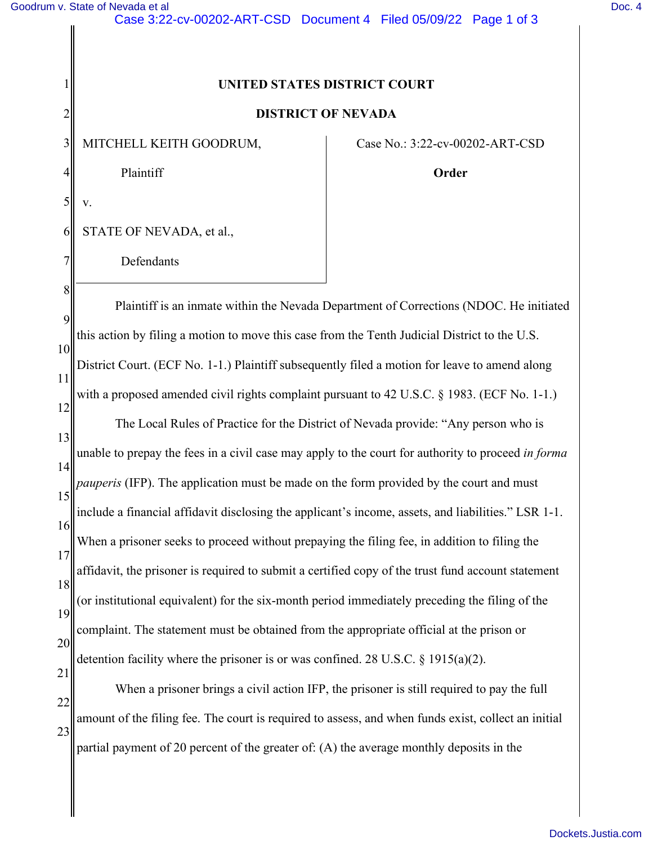1

2

3

4

5

v.

6

7

## **UNITED STATES DISTRICT COURT**

## **DISTRICT OF NEVADA**

MITCHELL KEITH GOODRUM,

STATE OF NEVADA, et al.,

Defendants

Case No.: 3:22-cv-00202-ART-CSD

**Order** 

8 9 10 11 12 13 14 15 16 17 18 19 20 21 22 23 Plaintiff is an inmate within the Nevada Department of Corrections (NDOC. He initiated this action by filing a motion to move this case from the Tenth Judicial District to the U.S. District Court. (ECF No. 1-1.) Plaintiff subsequently filed a motion for leave to amend along with a proposed amended civil rights complaint pursuant to 42 U.S.C. § 1983. (ECF No. 1-1.) The Local Rules of Practice for the District of Nevada provide: "Any person who is unable to prepay the fees in a civil case may apply to the court for authority to proceed *in forma pauperis* (IFP). The application must be made on the form provided by the court and must include a financial affidavit disclosing the applicant's income, assets, and liabilities." LSR 1-1. When a prisoner seeks to proceed without prepaying the filing fee, in addition to filing the affidavit, the prisoner is required to submit a certified copy of the trust fund account statement (or institutional equivalent) for the six-month period immediately preceding the filing of the complaint. The statement must be obtained from the appropriate official at the prison or detention facility where the prisoner is or was confined. 28 U.S.C.  $\S$  1915(a)(2). When a prisoner brings a civil action IFP, the prisoner is still required to pay the full amount of the filing fee. The court is required to assess, and when funds exist, collect an initial partial payment of 20 percent of the greater of: (A) the average monthly deposits in the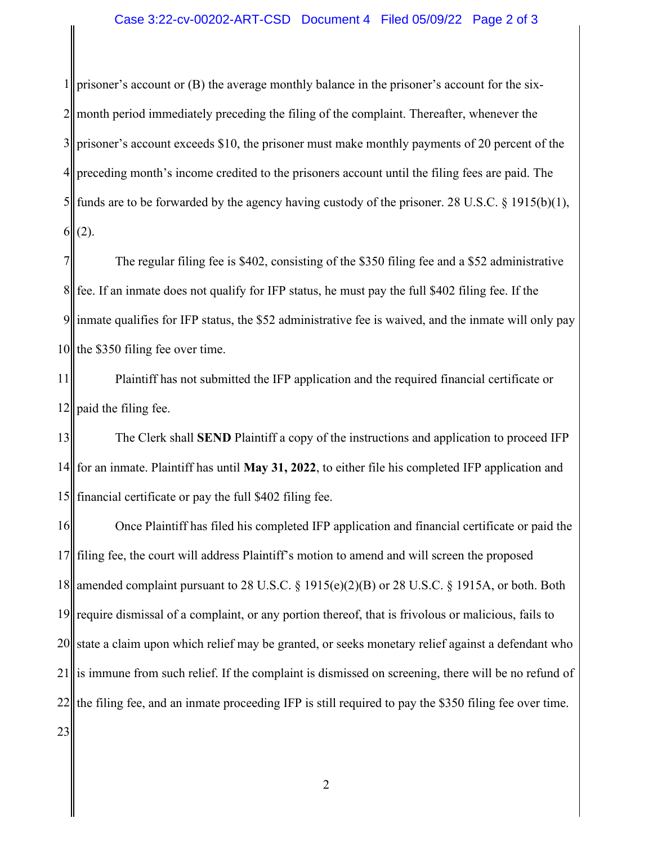1 2 3 4 5 6 prisoner's account or (B) the average monthly balance in the prisoner's account for the sixmonth period immediately preceding the filing of the complaint. Thereafter, whenever the prisoner's account exceeds \$10, the prisoner must make monthly payments of 20 percent of the preceding month's income credited to the prisoners account until the filing fees are paid. The funds are to be forwarded by the agency having custody of the prisoner. 28 U.S.C. § 1915(b)(1), (2).

7 8 9 10 The regular filing fee is \$402, consisting of the \$350 filing fee and a \$52 administrative fee. If an inmate does not qualify for IFP status, he must pay the full \$402 filing fee. If the inmate qualifies for IFP status, the \$52 administrative fee is waived, and the inmate will only pay the \$350 filing fee over time.

11 12 Plaintiff has not submitted the IFP application and the required financial certificate or paid the filing fee.

13 14 15 The Clerk shall **SEND** Plaintiff a copy of the instructions and application to proceed IFP for an inmate. Plaintiff has until **May 31, 2022**, to either file his completed IFP application and financial certificate or pay the full \$402 filing fee.

16 17 18 19 20 21 22 23 Once Plaintiff has filed his completed IFP application and financial certificate or paid the filing fee, the court will address Plaintiff's motion to amend and will screen the proposed amended complaint pursuant to 28 U.S.C. § 1915(e)(2)(B) or 28 U.S.C. § 1915A, or both. Both require dismissal of a complaint, or any portion thereof, that is frivolous or malicious, fails to state a claim upon which relief may be granted, or seeks monetary relief against a defendant who is immune from such relief. If the complaint is dismissed on screening, there will be no refund of the filing fee, and an inmate proceeding IFP is still required to pay the \$350 filing fee over time.